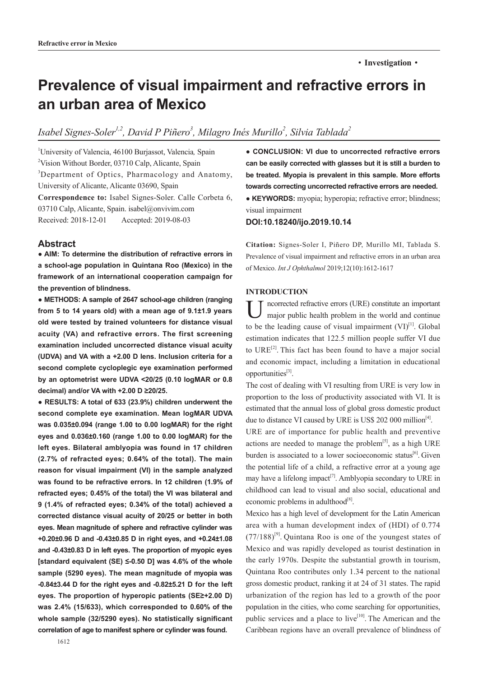# ·**Investigation**·

# **Prevalence of visual impairment and refractive errors in an urban area of Mexico**

# Isabel Signes-Soler<sup>1,2</sup>, David P Piñero<sup>3</sup>, Milagro Inés Murillo<sup>2</sup>, Silvia Tablada<sup>2</sup>

1 University of Valencia, 46100 Burjassot, Valencia*,* Spain <sup>2</sup>Vision Without Border, 03710 Calp, Alicante, Spain <sup>3</sup>Department of Optics, Pharmacology and Anatomy, University of Alicante, Alicante 03690, Spain **Correspondence to:** Isabel Signes-Soler. Calle Corbeta 6, 03710 Calp, Alicante, Spain. isabel@onvivim.com Received: 2018-12-01 Accepted: 2019-08-03

## **Abstract**

**● AIM: To determine the distribution of refractive errors in a school-age population in Quintana Roo (Mexico) in the framework of an international cooperation campaign for the prevention of blindness.** 

**● METHODS: A sample of 2647 school-age children (ranging from 5 to 14 years old) with a mean age of 9.1±1.9 years old were tested by trained volunteers for distance visual acuity (VA) and refractive errors. The first screening examination included uncorrected distance visual acuity (UDVA) and VA with a +2.00 D lens. Inclusion criteria for a second complete cycloplegic eye examination performed by an optometrist were UDVA <20/25 (0.10 logMAR or 0.8 decimal) and/or VA with +2.00 D ≥20/25.**

**● RESULTS: A total of 633 (23.9%) children underwent the second complete eye examination. Mean logMAR UDVA was 0.035±0.094 (range 1.00 to 0.00 logMAR) for the right eyes and 0.036±0.160 (range 1.00 to 0.00 logMAR) for the left eyes. Bilateral amblyopia was found in 17 children (2.7% of refracted eyes; 0.64% of the total). The main reason for visual impairment (VI) in the sample analyzed was found to be refractive errors. In 12 children (1.9% of refracted eyes; 0.45% of the total) the VI was bilateral and 9 (1.4% of refracted eyes; 0.34% of the total) achieved a corrected distance visual acuity of 20/25 or better in both eyes. Mean magnitude of sphere and refractive cylinder was +0.20±0.96 D and -0.43±0.85 D in right eyes, and +0.24±1.08 and -0.43±0.83 D in left eyes. The proportion of myopic eyes [standard equivalent (SE) ≤-0.50 D] was 4.6% of the whole sample (5290 eyes). The mean magnitude of myopia was -0.84±3.44 D for the right eyes and -0.82±5.21 D for the left eyes. The proportion of hyperopic patients (SE≥+2.00 D) was 2.4% (15/633), which corresponded to 0.60% of the whole sample (32/5290 eyes). No statistically significant correlation of age to manifest sphere or cylinder was found.** 

1612

**● CONCLUSION: VI due to uncorrected refractive errors can be easily corrected with glasses but it is still a burden to be treated. Myopia is prevalent in this sample. More efforts towards correcting uncorrected refractive errors are needed.** 

**● KEYWORDS:** myopia; hyperopia; refractive error; blindness; visual impairment

# **DOI:10.18240/ijo.2019.10.14**

**Citation:** Signes-Soler I, Piñero DP, Murillo MI, Tablada S. Prevalence of visual impairment and refractive errors in an urban area of Mexico. *Int J Ophthalmol* 2019;12(10):1612-1617

#### **INTRODUCTION**

Uncorrected refractive errors (URE) constitute an important major public health problem in the world and continue to be the leading cause of visual impairment  $(VI)^{[1]}$ . Global estimation indicates that 122.5 million people suffer VI due to  $URE^{[2]}$ . This fact has been found to have a major social and economic impact, including a limitation in educational opportunities<sup>[3]</sup>.

The cost of dealing with VI resulting from URE is very low in proportion to the loss of productivity associated with VI. It is estimated that the annual loss of global gross domestic product due to distance VI caused by URE is US\$ 202 000 million<sup>[4]</sup>.

URE are of importance for public health and preventive actions are needed to manage the problem<sup>[5]</sup>, as a high URE burden is associated to a lower socioeconomic status<sup>[6]</sup>. Given the potential life of a child, a refractive error at a young age may have a lifelong impact<sup>[7]</sup>. Amblyopia secondary to URE in childhood can lead to visual and also social, educational and economic problems in adulthood $^{[8]}$ .

Mexico has a high level of development for the Latin American area with a human development index of (HDI) of 0.774  $(77/188)^{9}$ . Quintana Roo is one of the youngest states of Mexico and was rapidly developed as tourist destination in the early 1970s. Despite the substantial growth in tourism, Quintana Roo contributes only 1.34 percent to the national gross domestic product, ranking it at 24 of 31 states. The rapid urbanization of the region has led to a growth of the poor population in the cities, who come searching for opportunities, public services and a place to live<sup>[10]</sup>. The American and the Caribbean regions have an overall prevalence of blindness of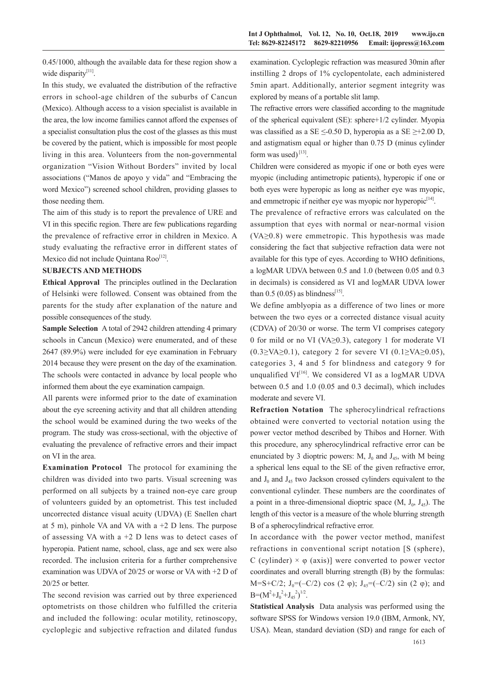0.45/1000, although the available data for these region show a wide disparity<sup>[11]</sup>.

In this study, we evaluated the distribution of the refractive errors in school-age children of the suburbs of Cancun (Mexico). Although access to a vision specialist is available in the area, the low income families cannot afford the expenses of a specialist consultation plus the cost of the glasses as this must be covered by the patient, which is impossible for most people living in this area. Volunteers from the non-governmental organization "Vision Without Borders" invited by local associations ("Manos de apoyo y vida" and "Embracing the word Mexico") screened school children, providing glasses to those needing them.

The aim of this study is to report the prevalence of URE and VI in this specific region. There are few publications regarding the prevalence of refractive error in children in Mexico. A study evaluating the refractive error in different states of Mexico did not include Quintana Roo<sup>[12]</sup>.

# **SUBJECTS AND METHODS**

**Ethical Approval** The principles outlined in the Declaration of Helsinki were followed. Consent was obtained from the parents for the study after explanation of the nature and possible consequences of the study.

**Sample Selection** A total of 2942 children attending 4 primary schools in Cancun (Mexico) were enumerated, and of these 2647 (89.9%) were included for eye examination in February 2014 because they were present on the day of the examination. The schools were contacted in advance by local people who informed them about the eye examination campaign.

All parents were informed prior to the date of examination about the eye screening activity and that all children attending the school would be examined during the two weeks of the program. The study was cross-sectional, with the objective of evaluating the prevalence of refractive errors and their impact on VI in the area.

**Examination Protocol** The protocol for examining the children was divided into two parts. Visual screening was performed on all subjects by a trained non-eye care group of volunteers guided by an optometrist. This test included uncorrected distance visual acuity (UDVA) (E Snellen chart at 5 m), pinhole VA and VA with  $a + 2$  D lens. The purpose of assessing VA with  $a + 2$  D lens was to detect cases of hyperopia. Patient name, school, class, age and sex were also recorded. The inclusion criteria for a further comprehensive examination was UDVA of 20/25 or worse or VA with +2 D of 20/25 or better.

The second revision was carried out by three experienced optometrists on those children who fulfilled the criteria and included the following: ocular motility, retinoscopy, cycloplegic and subjective refraction and dilated fundus examination. Cycloplegic refraction was measured 30min after instilling 2 drops of 1% cyclopentolate, each administered 5min apart. Additionally, anterior segment integrity was explored by means of a portable slit lamp.

The refractive errors were classified according to the magnitude of the spherical equivalent (SE): sphere+1/2 cylinder. Myopia was classified as a SE  $\leq$ -0.50 D, hyperopia as a SE  $\geq$ +2.00 D, and astigmatism equal or higher than 0.75 D (minus cylinder form was used) $^{[13]}$ .

Children were considered as myopic if one or both eyes were myopic (including antimetropic patients), hyperopic if one or both eyes were hyperopic as long as neither eye was myopic, and emmetropic if neither eye was myopic nor hyperopic $[14]$ .

The prevalence of refractive errors was calculated on the assumption that eyes with normal or near-normal vision  $(VA \ge 0.8)$  were emmetropic. This hypothesis was made considering the fact that subjective refraction data were not available for this type of eyes. According to WHO definitions, a logMAR UDVA between 0.5 and 1.0 (between 0.05 and 0.3 in decimals) is considered as VI and logMAR UDVA lower than 0.5 (0.05) as blindness<sup>[15]</sup>.

We define amblyopia as a difference of two lines or more between the two eyes or a corrected distance visual acuity (CDVA) of 20/30 or worse. The term VI comprises category 0 for mild or no VI (VA≥0.3), category 1 for moderate VI  $(0.3 \ge VA \ge 0.1)$ , category 2 for severe VI  $(0.1 \ge VA \ge 0.05)$ , categories 3, 4 and 5 for blindness and category 9 for unqualified  $VI^{[16]}$ . We considered VI as a logMAR UDVA between 0.5 and 1.0 (0.05 and 0.3 decimal), which includes moderate and severe VI.

**Refraction Notation**The spherocylindrical refractions obtained were converted to vectorial notation using the power vector method described by Thibos and Horner. With this procedure, any spherocylindrical refractive error can be enunciated by 3 dioptric powers: M,  $J_0$  and  $J_{45}$ , with M being a spherical lens equal to the SE of the given refractive error, and  $J_0$  and  $J_{45}$  two Jackson crossed cylinders equivalent to the conventional cylinder. These numbers are the coordinates of a point in a three-dimensional dioptric space  $(M, J_0, J_4)$ . The length of this vector is a measure of the whole blurring strength B of a spherocylindrical refractive error.

In accordance with the power vector method, manifest refractions in conventional script notation [S (sphere), C (cylinder)  $\times \varphi$  (axis)] were converted to power vector coordinates and overall blurring strength (B) by the formulas: M=S+C/2;  $J_0=(-C/2) \cos(2 \varphi)$ ;  $J_{45}=(-C/2) \sin(2 \varphi)$ ; and  $B=(M^2+J_0^2+J_{45}^2)^{1/2}.$ 

**Statistical Analysis** Data analysis was performed using the software SPSS for Windows version 19.0 (IBM, Armonk, NY, USA). Mean, standard deviation (SD) and range for each of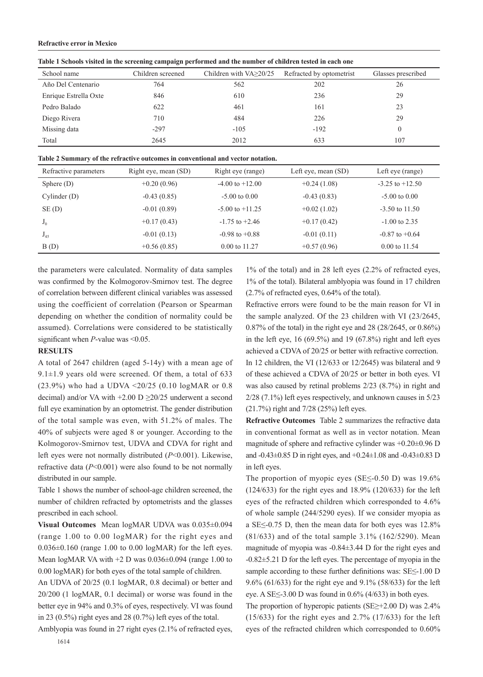#### **Refractive error in Mexico**

| Table I Schools visited in the servening campaign performed and the number of emidient tested in each one |                   |                               |                          |                    |  |  |
|-----------------------------------------------------------------------------------------------------------|-------------------|-------------------------------|--------------------------|--------------------|--|--|
| School name                                                                                               | Children screened | Children with $VA \geq 20/25$ | Refracted by optometrist | Glasses prescribed |  |  |
| Año Del Centenario                                                                                        | 764               | 562                           | 202                      | 26                 |  |  |
| Enrique Estrella Oxte                                                                                     | 846               | 610                           | 236                      | 29                 |  |  |
| Pedro Balado                                                                                              | 622               | 461                           | 161                      | 23                 |  |  |
| Diego Rivera                                                                                              | 710               | 484                           | 226                      | 29                 |  |  |
| Missing data                                                                                              | $-297$            | $-105$                        | $-192$                   |                    |  |  |
| Total                                                                                                     | 2645              | 2012                          | 633                      | 107                |  |  |

**Table 1 Schools visited in the screening campaign performed and the number of children tested in each one**

| Table 2 Summary of the refractive outcomes in conventional and vector notation. |  |  |
|---------------------------------------------------------------------------------|--|--|
|---------------------------------------------------------------------------------|--|--|

| Refractive parameters | Right eye, mean (SD) | Right eye (range)        | Left eye, mean (SD) | Left eye (range)         |
|-----------------------|----------------------|--------------------------|---------------------|--------------------------|
| Sphere $(D)$          | $+0.20(0.96)$        | $-4.00$ to $+12.00$      | $+0.24(1.08)$       | $-3.25$ to $+12.50$      |
| Cylinder(D)           | $-0.43(0.85)$        | $-5.00$ to $0.00$        | $-0.43(0.83)$       | $-5.00 \text{ to } 0.00$ |
| SE(D)                 | $-0.01(0.89)$        | $-5.00$ to $+11.25$      | $+0.02(1.02)$       | $-3.50$ to $11.50$       |
| $J_0$                 | $+0.17(0.43)$        | $-1.75$ to $+2.46$       | $+0.17(0.42)$       | $-1.00$ to 2.35          |
| $J_{45}$              | $-0.01(0.13)$        | $-0.98$ to $+0.88$       | $-0.01(0.11)$       | $-0.87$ to $+0.64$       |
| B(D)                  | $+0.56(0.85)$        | $0.00 \text{ to } 11.27$ | $+0.57(0.96)$       | $0.00 \text{ to } 11.54$ |

the parameters were calculated. Normality of data samples was confirmed by the Kolmogorov-Smirnov test. The degree of correlation between different clinical variables was assessed using the coefficient of correlation (Pearson or Spearman depending on whether the condition of normality could be assumed). Correlations were considered to be statistically significant when *P*-value was <0.05.

### **RESULTS**

A total of 2647 children (aged 5-14y) with a mean age of 9.1 $\pm$ 1.9 years old were screened. Of them, a total of 633 (23.9%) who had a UDVA  $\leq$ 20/25 (0.10 logMAR or 0.8) decimal) and/or VA with +2.00 D ≥20/25 underwent a second full eye examination by an optometrist. The gender distribution of the total sample was even, with 51.2% of males. The 40% of subjects were aged 8 or younger. According to the Kolmogorov-Smirnov test, UDVA and CDVA for right and left eyes were not normally distributed (*P*<0.001). Likewise, refractive data (*P*<0.001) were also found to be not normally distributed in our sample.

Table 1 shows the number of school-age children screened, the number of children refracted by optometrists and the glasses prescribed in each school.

**Visual Outcomes** Mean logMAR UDVA was 0.035±0.094 (range 1.00 to 0.00 logMAR) for the right eyes and  $0.036\pm0.160$  (range 1.00 to 0.00 logMAR) for the left eyes. Mean logMAR VA with +2 D was 0.036±0.094 (range 1.00 to 0.00 logMAR) for both eyes of the total sample of children.

An UDVA of 20/25 (0.1 logMAR, 0.8 decimal) or better and 20/200 (1 logMAR, 0.1 decimal) or worse was found in the better eye in 94% and 0.3% of eyes, respectively. VI was found in 23 (0.5%) right eyes and 28 (0.7%) left eyes of the total. Amblyopia was found in 27 right eyes (2.1% of refracted eyes,

1% of the total) and in 28 left eyes (2.2% of refracted eyes, 1% of the total). Bilateral amblyopia was found in 17 children (2.7% of refracted eyes, 0.64% of the total).

Refractive errors were found to be the main reason for VI in the sample analyzed. Of the 23 children with VI (23/2645, 0.87% of the total) in the right eye and 28 (28/2645, or 0.86%) in the left eye, 16 (69.5%) and 19 (67.8%) right and left eyes achieved a CDVA of 20/25 or better with refractive correction. In 12 children, the VI (12/633 or 12/2645) was bilateral and 9 of these achieved a CDVA of 20/25 or better in both eyes. VI was also caused by retinal problems 2/23 (8.7%) in right and 2/28 (7.1%) left eyes respectively, and unknown causes in 5/23 (21.7%) right and 7/28 (25%) left eyes.

**Refractive Outcomes** Table 2 summarizes the refractive data in conventional format as well as in vector notation. Mean magnitude of sphere and refractive cylinder was +0.20±0.96 D and -0.43±0.85 D in right eyes, and +0.24±1.08 and -0.43±0.83 D in left eyes.

The proportion of myopic eyes (SE $\leq$ -0.50 D) was 19.6% (124/633) for the right eyes and 18.9% (120/633) for the left eyes of the refracted children which corresponded to 4.6% of whole sample (244/5290 eyes). If we consider myopia as a SE≤-0.75 D, then the mean data for both eyes was 12.8% (81/633) and of the total sample 3.1% (162/5290). Mean magnitude of myopia was -0.84±3.44 D for the right eyes and -0.82±5.21 D for the left eyes. The percentage of myopia in the sample according to these further definitions was: SE≤-1.00 D 9.6% (61/633) for the right eye and 9.1% (58/633) for the left eye. A SE $\leq$ -3.00 D was found in 0.6% (4/633) in both eyes.

The proportion of hyperopic patients (SE≥+2.00 D) was 2.4% (15/633) for the right eyes and 2.7% (17/633) for the left eyes of the refracted children which corresponded to 0.60%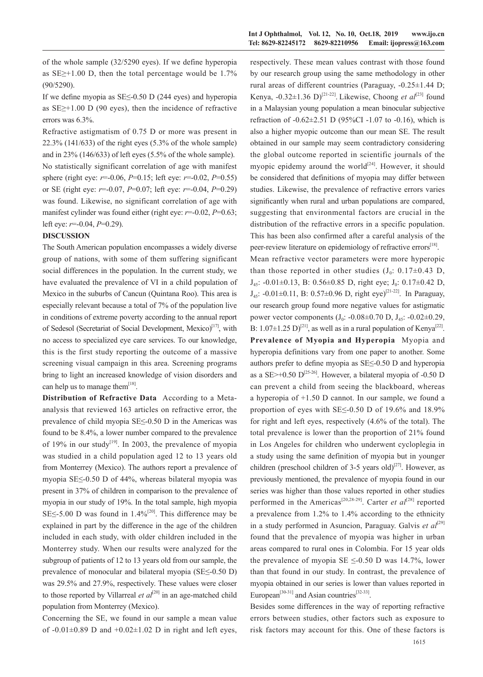of the whole sample (32/5290 eyes). If we define hyperopia as  $SE \geq +1.00$  D, then the total percentage would be 1.7% (90/5290).

If we define myopia as SE≤-0.50 D (244 eyes) and hyperopia as SE≥+1.00 D (90 eyes), then the incidence of refractive errors was 6.3%.

Refractive astigmatism of 0.75 D or more was present in 22.3% (141/633) of the right eyes (5.3% of the whole sample) and in 23% (146/633) of left eyes (5.5% of the whole sample). No statistically significant correlation of age with manifest sphere (right eye: *r*=-0.06, *P*=0.15; left eye: *r*=-0.02, *P*=0.55) or SE (right eye: *r*=-0.07, *P*=0.07; left eye: *r*=-0.04, *P*=0.29) was found. Likewise, no significant correlation of age with manifest cylinder was found either (right eye:  $r = -0.02$ ,  $P = 0.63$ ; left eye: *r*=-0.04, *P*=0.29).

#### **DISCUSSION**

The South American population encompasses a widely diverse group of nations, with some of them suffering significant social differences in the population. In the current study, we have evaluated the prevalence of VI in a child population of Mexico in the suburbs of Cancun (Quintana Roo). This area is especially relevant because a total of 7% of the population live in conditions of extreme poverty according to the annual report of Sedesol (Secretariat of Social Development, Mexico)<sup>[17]</sup>, with no access to specialized eye care services. To our knowledge, this is the first study reporting the outcome of a massive screening visual campaign in this area. Screening programs bring to light an increased knowledge of vision disorders and can help us to manage them<sup>[18]</sup>.

**Distribution of Refractive Data** According to a Metaanalysis that reviewed 163 articles on refractive error, the prevalence of child myopia SE≤-0.50 D in the Americas was found to be 8.4%, a lower number compared to the prevalence of 19% in our study<sup>[19]</sup>. In 2003, the prevalence of myopia was studied in a child population aged 12 to 13 years old from Monterrey (Mexico). The authors report a prevalence of myopia SE≤-0.50 D of 44%, whereas bilateral myopia was present in 37% of children in comparison to the prevalence of myopia in our study of 19%. In the total sample, high myopia SE $\leq$ -5.00 D was found in 1.4%<sup>[20]</sup>. This difference may be explained in part by the difference in the age of the children included in each study, with older children included in the Monterrey study. When our results were analyzed for the subgroup of patients of 12 to 13 years old from our sample, the prevalence of monocular and bilateral myopia (SE≤-0.50 D) was 29.5% and 27.9%, respectively. These values were closer to those reported by Villarreal *et*  $al^{[20]}$  in an age-matched child population from Monterrey (Mexico).

Concerning the SE, we found in our sample a mean value of  $-0.01\pm0.89$  D and  $+0.02\pm1.02$  D in right and left eyes,

respectively. These mean values contrast with those found by our research group using the same methodology in other rural areas of different countries (Paraguay, -0.25±1.44 D; Kenya,  $-0.32 \pm 1.36$  D)<sup>[21-22]</sup>. Likewise, Choong *et al*<sup>[23]</sup> found in a Malaysian young population a mean binocular subjective refraction of -0.62±2.51 D (95%CI -1.07 to -0.16), which is also a higher myopic outcome than our mean SE. The result obtained in our sample may seem contradictory considering the global outcome reported in scientific journals of the myopic epidemy around the world<sup>[24]</sup>. However, it should be considered that definitions of myopia may differ between studies. Likewise, the prevalence of refractive errors varies significantly when rural and urban populations are compared, suggesting that environmental factors are crucial in the distribution of the refractive errors in a specific population. This has been also confirmed after a careful analysis of the peer-review literature on epidemiology of refractive errors<sup>[18]</sup>.

Mean refractive vector parameters were more hyperopic than those reported in other studies  $(J_0: 0.17\pm0.43)$  D,  $J_{45}$ : -0.01 $\pm$ 0.13, B: 0.56 $\pm$ 0.85 D, right eye;  $J_0$ : 0.17 $\pm$ 0.42 D, J<sub>45</sub>: -0.01±0.11, B: 0.57±0.96 D, right eye)<sup>[21-22]</sup>. In Paraguay, our research group found more negative values for astigmatic power vector components  $(J_0: -0.08 \pm 0.70 \text{ D}, J_4; -0.02 \pm 0.29,$ B:  $1.07\pm1.25$  D)<sup>[21]</sup>, as well as in a rural population of Kenya<sup>[22]</sup>. **Prevalence of Myopia and Hyperopia** Myopia and hyperopia definitions vary from one paper to another. Some authors prefer to define myopia as SE≤-0.50 D and hyperopia as a SE $>$ +0.50 D<sup>[25-26]</sup>. However, a bilateral myopia of -0.50 D can prevent a child from seeing the blackboard, whereas a hyperopia of +1.50 D cannot. In our sample, we found a proportion of eyes with SE≤-0.50 D of 19.6% and 18.9% for right and left eyes, respectively (4.6% of the total). The total prevalence is lower than the proportion of 21% found in Los Angeles for children who underwent cycloplegia in a study using the same definition of myopia but in younger children (preschool children of 3-5 years old)<sup>[27]</sup>. However, as previously mentioned, the prevalence of myopia found in our series was higher than those values reported in other studies performed in the Americas<sup>[20,28-29]</sup>. Carter *et al*<sup>[28]</sup> reported a prevalence from 1.2% to 1.4% according to the ethnicity in a study performed in Asuncion, Paraguay. Galvis *et*  $a^{[29]}$ found that the prevalence of myopia was higher in urban areas compared to rural ones in Colombia. For 15 year olds the prevalence of myopia SE  $\leq$ -0.50 D was 14.7%, lower than that found in our study. In contrast, the prevalence of myopia obtained in our series is lower than values reported in European<sup>[30-31]</sup> and Asian countries<sup>[32-33]</sup>.

Besides some differences in the way of reporting refractive errors between studies, other factors such as exposure to risk factors may account for this. One of these factors is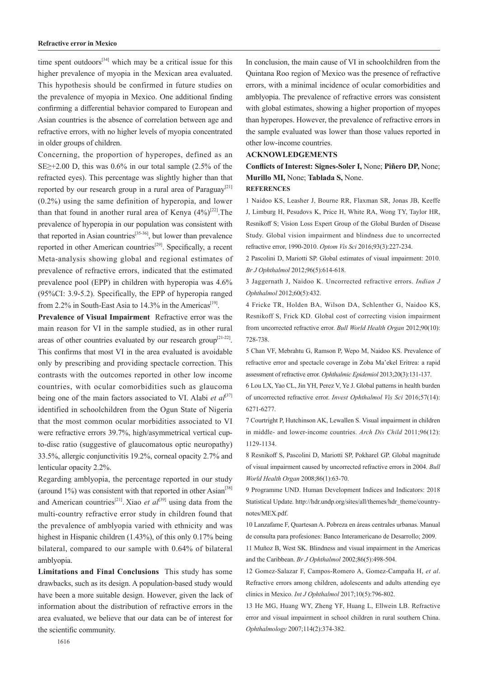#### **Refractive error in Mexico**

time spent outdoors<sup>[34]</sup> which may be a critical issue for this higher prevalence of myopia in the Mexican area evaluated. This hypothesis should be confirmed in future studies on the prevalence of myopia in Mexico. One additional finding confirming a differential behavior compared to European and Asian countries is the absence of correlation between age and refractive errors, with no higher levels of myopia concentrated in older groups of children.

Concerning, the proportion of hyperopes, defined as an SE $\geq$ +2.00 D, this was 0.6% in our total sample (2.5% of the refracted eyes). This percentage was slightly higher than that reported by our research group in a rural area of Paraguay<sup>[21]</sup> (0.2%) using the same definition of hyperopia, and lower than that found in another rural area of Kenya  $(4\%)^{[22]}$ . The prevalence of hyperopia in our population was consistent with that reported in Asian countries<sup>[35-36]</sup>, but lower than prevalence reported in other American countries<sup>[29]</sup>. Specifically, a recent Meta-analysis showing global and regional estimates of prevalence of refractive errors, indicated that the estimated prevalence pool (EPP) in children with hyperopia was 4.6% (95%CI: 3.9-5.2). Specifically, the EPP of hyperopia ranged from 2.2% in South-East Asia to 14.3% in the Americas<sup>[19]</sup>.

**Prevalence of Visual Impairment** Refractive error was the main reason for VI in the sample studied, as in other rural areas of other countries evaluated by our research group<sup>[21-22]</sup>. This confirms that most VI in the area evaluated is avoidable only by prescribing and providing spectacle correction. This contrasts with the outcomes reported in other low income countries, with ocular comorbidities such as glaucoma being one of the main factors associated to VI. Alabi *et al*<sup>[37]</sup> identified in schoolchildren from the Ogun State of Nigeria that the most common ocular morbidities associated to VI were refractive errors 39.7%, high/asymmetrical vertical cupto-disc ratio (suggestive of glaucomatous optic neuropathy) 33.5%, allergic conjunctivitis 19.2%, corneal opacity 2.7% and lenticular opacity 2.2%.

Regarding amblyopia, the percentage reported in our study (around  $1\%$ ) was consistent with that reported in other Asian<sup>[38]</sup> and American countries<sup>[21]</sup>. Xiao *et al*<sup>[39]</sup> using data from the multi-country refractive error study in children found that the prevalence of amblyopia varied with ethnicity and was highest in Hispanic children (1.43%), of this only 0.17% being bilateral, compared to our sample with 0.64% of bilateral amblyopia.

**Limitations and Final Conclusions** This study has some drawbacks, such as its design. A population-based study would have been a more suitable design. However, given the lack of information about the distribution of refractive errors in the area evaluated, we believe that our data can be of interest for the scientific community.

In conclusion, the main cause of VI in schoolchildren from the Quintana Roo region of Mexico was the presence of refractive errors, with a minimal incidence of ocular comorbidities and amblyopia. The prevalence of refractive errors was consistent with global estimates, showing a higher proportion of myopes than hyperopes. However, the prevalence of refractive errors in the sample evaluated was lower than those values reported in other low-income countries.

#### **ACKNOWLEDGEMENTS**

**Conflicts of Interest: Signes-Soler I,** None; **Piñero DP,** None; **Murillo MI,** None; **Tablada S,** None. **REFERENCES**

1 Naidoo KS, Leasher J, Bourne RR, Flaxman SR, Jonas JB, Keeffe J, Limburg H, Pesudovs K, Price H, White RA, Wong TY, Taylor HR, Resnikoff S; Vision Loss Expert Group of the Global Burden of Disease Study. Global vision impairment and blindness due to uncorrected refractive error, 1990-2010. *Optom Vis Sci* 2016;93(3):227-234.

2 Pascolini D, Mariotti SP. Global estimates of visual impairment: 2010. *Br J Ophthalmol* 2012;96(5):614-618.

3 Jaggernath J, Naidoo K. Uncorrected refractive errors. *Indian J Ophthalmol* 2012;60(5):432.

4 Fricke TR, Holden BA, Wilson DA, Schlenther G, Naidoo KS, Resnikoff S, Frick KD. Global cost of correcting vision impairment from uncorrected refractive error. *Bull World Health Organ* 2012;90(10): 728-738.

5 Chan VF, Mebrahtu G, Ramson P, Wepo M, Naidoo KS. Prevalence of refractive error and spectacle coverage in Zoba Ma'ekel Eritrea: a rapid assessment of refractive error. *Ophthalmic Epidemiol* 2013;20(3):131-137.

6 Lou LX, Yao CL, Jin YH, Perez V, Ye J. Global patterns in health burden of uncorrected refractive error. *Invest Ophthalmol Vis Sci* 2016;57(14): 6271-6277.

7 Courtright P, Hutchinson AK, Lewallen S. Visual impairment in children in middle- and lower-income countries. *Arch Dis Child* 2011;96(12): 1129-1134.

8 Resnikoff S, Pascolini D, Mariotti SP, Pokharel GP. Global magnitude of visual impairment caused by uncorrected refractive errors in 2004. *Bull World Health Organ* 2008;86(1):63-70.

9 Programme UND. Human Development Indices and Indicators: 2018 Statistical Update. http://hdr.undp.org/sites/all/themes/hdr\_theme/countrynotes/MEX.pdf.

10 Lanzafame F, Quartesan A. Pobreza en áreas centrales urbanas. Manual de consulta para profesiones: Banco Interamericano de Desarrollo; 2009.

11 Muñoz B, West SK. Blindness and visual impairment in the Americas and the Caribbean. *Br J Ophthalmol* 2002;86(5):498-504.

12 Gomez-Salazar F, Campos-Romero A, Gomez-Campaña H, *et al*. Refractive errors among children, adolescents and adults attending eye clinics in Mexico. *Int J Ophthalmol* 2017;10(5):796-802.

13 He MG, Huang WY, Zheng YF, Huang L, Ellwein LB. Refractive error and visual impairment in school children in rural southern China. *Ophthalmology* 2007;114(2):374-382.